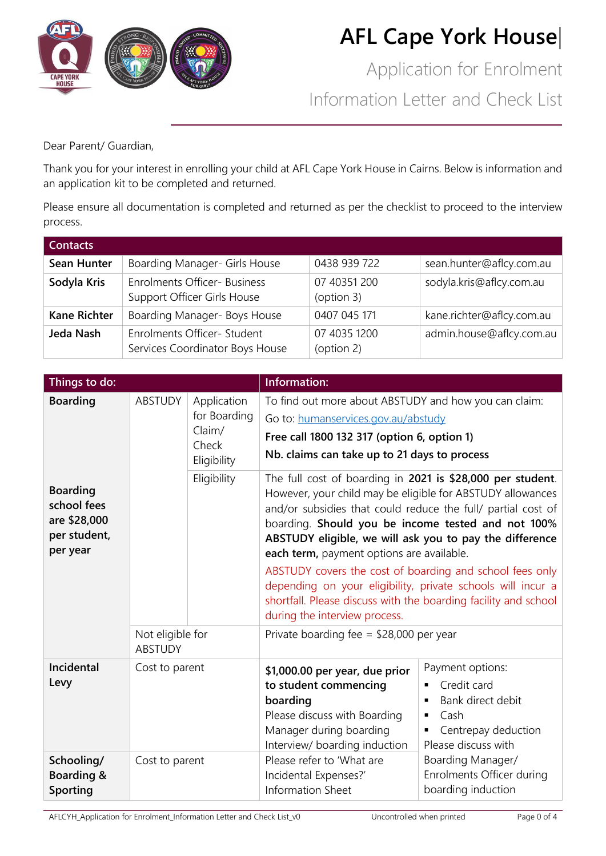

Application for Enrolment Information Letter and Check List

Dear Parent/ Guardian,

Thank you for your interest in enrolling your child at AFL Cape York House in Cairns. Below is information and an application kit to be completed and returned.

Please ensure all documentation is completed and returned as per the checklist to proceed to the interview process.

| <b>Contacts</b>     |                                                                    |                            |                           |
|---------------------|--------------------------------------------------------------------|----------------------------|---------------------------|
| Sean Hunter         | Boarding Manager- Girls House                                      | 0438 939 722               | sean.hunter@aflcy.com.au  |
| Sodyla Kris         | <b>Enrolments Officer- Business</b><br>Support Officer Girls House | 07 40351 200<br>(option 3) | sodyla.kris@aflcy.com.au  |
| <b>Kane Richter</b> | Boarding Manager- Boys House                                       | 0407 045 171               | kane.richter@aflcy.com.au |
| Jeda Nash           | Enrolments Officer- Student<br>Services Coordinator Boys House     | 07 4035 1200<br>(option 2) | admin.house@aflcy.com.au  |

| Things to do:                                                              |                                    |                                                                                                                                                                                                                                                              | Information:                                                                                                                                                                                                                                                                                                                                           |                                                                                                                 |
|----------------------------------------------------------------------------|------------------------------------|--------------------------------------------------------------------------------------------------------------------------------------------------------------------------------------------------------------------------------------------------------------|--------------------------------------------------------------------------------------------------------------------------------------------------------------------------------------------------------------------------------------------------------------------------------------------------------------------------------------------------------|-----------------------------------------------------------------------------------------------------------------|
| <b>Boarding</b>                                                            | <b>ABSTUDY</b>                     | Application<br>To find out more about ABSTUDY and how you can claim:<br>for Boarding<br>Go to: humanservices.gov.au/abstudy<br>Claim/<br>Free call 1800 132 317 (option 6, option 1)<br>Check<br>Nb. claims can take up to 21 days to process<br>Eligibility |                                                                                                                                                                                                                                                                                                                                                        |                                                                                                                 |
| <b>Boarding</b><br>school fees<br>are \$28,000<br>per student,<br>per year |                                    | Eligibility                                                                                                                                                                                                                                                  | The full cost of boarding in 2021 is \$28,000 per student.<br>However, your child may be eligible for ABSTUDY allowances<br>and/or subsidies that could reduce the full/ partial cost of<br>boarding. Should you be income tested and not 100%<br>ABSTUDY eligible, we will ask you to pay the difference<br>each term, payment options are available. |                                                                                                                 |
|                                                                            |                                    |                                                                                                                                                                                                                                                              | ABSTUDY covers the cost of boarding and school fees only<br>depending on your eligibility, private schools will incur a<br>shortfall. Please discuss with the boarding facility and school<br>during the interview process.                                                                                                                            |                                                                                                                 |
|                                                                            | Not eligible for<br><b>ABSTUDY</b> |                                                                                                                                                                                                                                                              | Private boarding fee = $$28,000$ per year                                                                                                                                                                                                                                                                                                              |                                                                                                                 |
| <b>Incidental</b><br>Levy                                                  | Cost to parent                     |                                                                                                                                                                                                                                                              | \$1,000.00 per year, due prior<br>to student commencing<br>boarding<br>Please discuss with Boarding<br>Manager during boarding<br>Interview/ boarding induction                                                                                                                                                                                        | Payment options:<br>Credit card<br>Bank direct debit<br>Cash<br>٠<br>Centrepay deduction<br>Please discuss with |
| Schooling/<br>Boarding &<br>Sporting                                       | Cost to parent                     |                                                                                                                                                                                                                                                              | Please refer to 'What are<br>Incidental Expenses?'<br>Information Sheet                                                                                                                                                                                                                                                                                | Boarding Manager/<br>Enrolments Officer during<br>boarding induction                                            |

AFLCYH\_Application for Enrolment\_Information Letter and Check List\_v0 Uncontrolled when printed Page 0 of 4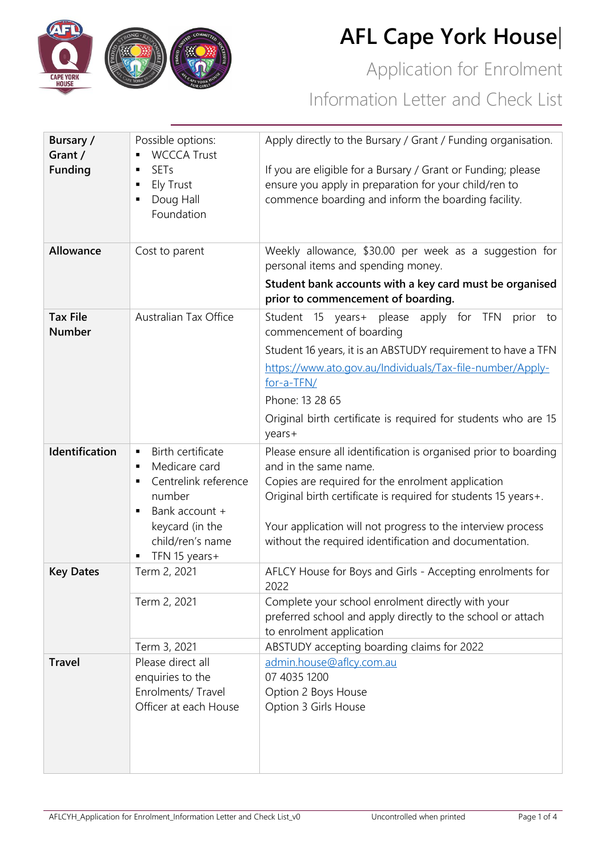

Application for Enrolment Information Letter and Check List

| <b>Bursary /</b>                                      | Possible options:                                 | Apply directly to the Bursary / Grant / Funding organisation.                                                       |  |
|-------------------------------------------------------|---------------------------------------------------|---------------------------------------------------------------------------------------------------------------------|--|
| Grant /                                               | <b>WCCCA Trust</b>                                |                                                                                                                     |  |
| <b>Funding</b>                                        | <b>SETs</b>                                       | If you are eligible for a Bursary / Grant or Funding; please                                                        |  |
|                                                       | Ely Trust<br>٠<br>٠                               | ensure you apply in preparation for your child/ren to                                                               |  |
|                                                       | Doug Hall<br>Foundation                           | commence boarding and inform the boarding facility.                                                                 |  |
|                                                       |                                                   |                                                                                                                     |  |
| Allowance                                             | Cost to parent                                    | Weekly allowance, \$30.00 per week as a suggestion for                                                              |  |
|                                                       |                                                   | personal items and spending money.                                                                                  |  |
|                                                       |                                                   | Student bank accounts with a key card must be organised                                                             |  |
|                                                       |                                                   | prior to commencement of boarding.                                                                                  |  |
| <b>Tax File</b><br><b>Number</b>                      | <b>Australian Tax Office</b>                      | Student 15<br>years+<br>please<br>apply<br>for<br><b>TFN</b><br>prior<br>to<br>commencement of boarding             |  |
|                                                       |                                                   | Student 16 years, it is an ABSTUDY requirement to have a TFN                                                        |  |
|                                                       |                                                   | https://www.ato.gov.au/Individuals/Tax-file-number/Apply-                                                           |  |
|                                                       |                                                   | for-a-TFN/                                                                                                          |  |
|                                                       |                                                   | Phone: 13 28 65                                                                                                     |  |
|                                                       |                                                   | Original birth certificate is required for students who are 15                                                      |  |
|                                                       |                                                   | years+                                                                                                              |  |
| Identification<br>Birth certificate<br>$\blacksquare$ |                                                   | Please ensure all identification is organised prior to boarding                                                     |  |
|                                                       | Medicare card<br>$\blacksquare$<br>$\blacksquare$ | and in the same name.                                                                                               |  |
|                                                       | Centrelink reference<br>number                    | Copies are required for the enrolment application<br>Original birth certificate is required for students 15 years+. |  |
|                                                       | Bank account +<br>$\blacksquare$                  |                                                                                                                     |  |
|                                                       | keycard (in the                                   | Your application will not progress to the interview process                                                         |  |
|                                                       | child/ren's name                                  | without the required identification and documentation.                                                              |  |
|                                                       | TFN 15 years+<br>٠                                |                                                                                                                     |  |
| <b>Key Dates</b>                                      | Term 2, 2021                                      | AFLCY House for Boys and Girls - Accepting enrolments for<br>2022                                                   |  |
|                                                       | Term 2, 2021                                      | Complete your school enrolment directly with your                                                                   |  |
|                                                       |                                                   | preferred school and apply directly to the school or attach                                                         |  |
|                                                       | Term 3, 2021                                      | to enrolment application<br>ABSTUDY accepting boarding claims for 2022                                              |  |
| <b>Travel</b>                                         | Please direct all                                 | admin.house@aflcy.com.au                                                                                            |  |
|                                                       | enquiries to the                                  | 07 4035 1200                                                                                                        |  |
|                                                       | Enrolments/ Travel                                | Option 2 Boys House                                                                                                 |  |
|                                                       | Officer at each House                             | Option 3 Girls House                                                                                                |  |
|                                                       |                                                   |                                                                                                                     |  |
|                                                       |                                                   |                                                                                                                     |  |
|                                                       |                                                   |                                                                                                                     |  |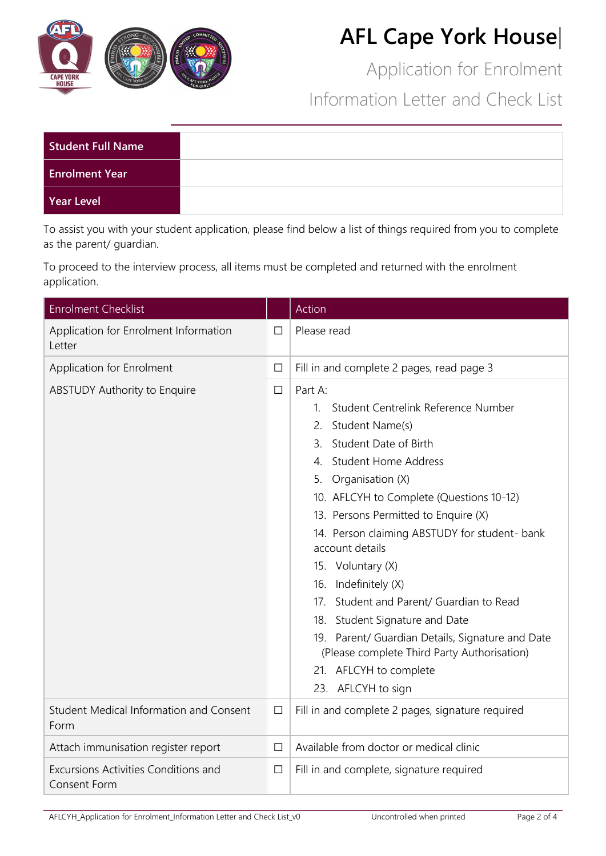

Application for Enrolment

Information Letter and Check List

| Student Full Name     |  |
|-----------------------|--|
| <b>Enrolment Year</b> |  |
| Year Level            |  |

To assist you with your student application, please find below a list of things required from you to complete as the parent/ guardian.

To proceed to the interview process, all items must be completed and returned with the enrolment application.

| <b>Enrolment Checklist</b>                             |        | Action                                                                                                                                                                                                                                                                                                                                                                                                                                                                                                                                                                                                    |
|--------------------------------------------------------|--------|-----------------------------------------------------------------------------------------------------------------------------------------------------------------------------------------------------------------------------------------------------------------------------------------------------------------------------------------------------------------------------------------------------------------------------------------------------------------------------------------------------------------------------------------------------------------------------------------------------------|
| Application for Enrolment Information<br>Letter        | □      | Please read                                                                                                                                                                                                                                                                                                                                                                                                                                                                                                                                                                                               |
| Application for Enrolment                              | □      | Fill in and complete 2 pages, read page 3                                                                                                                                                                                                                                                                                                                                                                                                                                                                                                                                                                 |
| <b>ABSTUDY Authority to Enquire</b>                    | $\Box$ | Part A:<br>Student Centrelink Reference Number<br>$1_{-}$<br>Student Name(s)<br>2.<br>Student Date of Birth<br>3.<br>4. Student Home Address<br>5. Organisation (X)<br>10. AFLCYH to Complete (Questions 10-12)<br>13. Persons Permitted to Enquire (X)<br>14. Person claiming ABSTUDY for student- bank<br>account details<br>15. Voluntary (X)<br>16. Indefinitely (X)<br>17. Student and Parent/ Guardian to Read<br>18. Student Signature and Date<br>19. Parent/ Guardian Details, Signature and Date<br>(Please complete Third Party Authorisation)<br>21. AFLCYH to complete<br>23. AFLCYH to sign |
| <b>Student Medical Information and Consent</b><br>Form | □      | Fill in and complete 2 pages, signature required                                                                                                                                                                                                                                                                                                                                                                                                                                                                                                                                                          |
| Attach immunisation register report                    | □      | Available from doctor or medical clinic                                                                                                                                                                                                                                                                                                                                                                                                                                                                                                                                                                   |
| Excursions Activities Conditions and<br>Consent Form   | □      | Fill in and complete, signature required                                                                                                                                                                                                                                                                                                                                                                                                                                                                                                                                                                  |